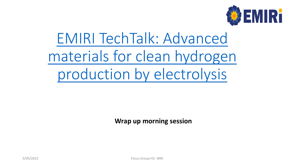

# EMIRI TechTalk: Advanced [materials for clean hydrogen](https://intranet.emiri.eu/index.php?r=content%2Fperma&id=2435) production by electrolysis

**Wrap up morning session**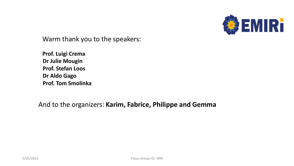

Warm thank you to the speakers:

**Prof. Luigi Crema Dr Julie Mougin Prof. Stefan Loos Dr Aldo Gago Prof. Tom Smolinka**

And to the organizers: **Karim, Fabrice, Philippe and Gemma**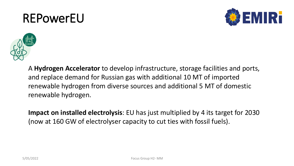# REPowerEU





A **Hydrogen Accelerator** to develop infrastructure, storage facilities and ports, and replace demand for Russian gas with additional 10 MT of imported renewable hydrogen from diverse sources and additional 5 MT of domestic renewable hydrogen.

**Impact on installed electrolysis**: EU has just multiplied by 4 its target for 2030 (now at 160 GW of electrolyser capacity to cut ties with fossil fuels).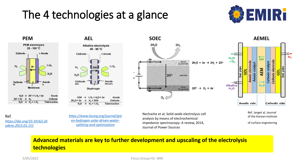## The 4 technologies at a glance







 $2H_2O + 2e$  $H_2 + 2OH$  $\rightarrow$  $H_2 + V_2 O_2$ **Total reaction**  $\rightarrow$ 

Ref. *[https://doi.org/10.1016/j.ijh](https://doi.org/10.1016/j.ijhydene.2013.01.151) ydene.2013.01.151*

*[https://www.huceg.org/journal/gre](https://www.huceg.org/journal/green-hydrogen-solar-driven-water-splitting-and-optimization) en-hydrogen-solar-driven-watersplitting-and-optimization*

Nechache et al, Solid oxide electrolysis cell analysis by means of electrochemical impedance spectroscopy: A review, 2014, Journal of Power Sources

 $2O<sup>2</sup>$ 

0,

 $2H<sub>2</sub>$ 

cathode

(H<sub>2</sub> electrode)

electrolyte

anode<br>(O<sub>2</sub> electrode)

 $20^2$   $\rightarrow$  0, + 4e



Ref. Janget al, Journal of the Korean institute

of surface engineering

### **Advanced materials are key to further development and upscaling of the electrolysis technologies**

5/05/2022 Focus Group H2- MM

 $2H<sub>2</sub>O$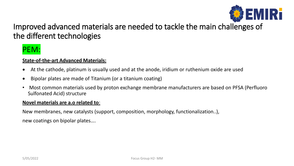

### Improved advanced materials are needed to tackle the main ch[allenges of](https://emiri.eu/)  the different technologies

### PEM:

### **State-of-the-art Advanced Materials:**

- At the cathode, platinum is usually used and at the anode, iridium or ruthenium oxide are used
- Bipolar plates are made of Titanium (or a titanium coating)
- Most common materials used by proton exchange membrane manufacturers are based on PFSA (Perfluoro Sulfonated Acid) structure

#### **Novel materials are a.o related to**:

New membranes, new catalysts (support, composition, morphology, functionalization..), new coatings on bipolar plates….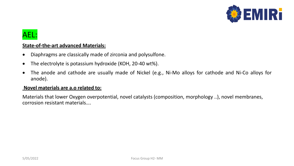

### AEL:

### **State-of-the-art advanced Materials:**

- Diaphragms are classically made of zirconia and polysulfone.
- The electrolyte is potassium hydroxide (KOH, 20-40 wt%).
- The anode and cathode are usually made of Nickel (e.g., Ni-Mo alloys for cathode and Ni-Co alloys for anode).

#### **Novel materials are a.o related to:**

Materials that lower Oxygen overpotential, novel catalysts (composition, morphology ..), novel membranes, corrosion resistant materials….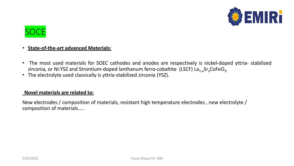



### • **State-of-the-art advanced Materials:**

- The most used materials for SOEC cathodes and anodes are respectively is nickel-doped yttria- stabilized zirconia, or Ni:YSZ and Strontium-doped lanthanum ferro-cobaltite (LSCF)  $La_{1-x}Sr_xCoFeO_3$ .
- The electrolyte used classically is yttria-stabilized zirconia (YSZ).

#### **Novel materials are related to:**

New electrodes / composition of materials, resistant high temperature electrodes , new electrolyte / composition of materials…..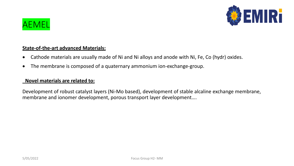

### AEMEL

### **State-of-the-art advanced Materials:**

- Cathode materials are usually made of Ni and Ni alloys and anode with Ni, Fe, Co (hydr) oxides.
- The membrane is composed of a quaternary ammonium ion-exchange-group.

### **Novel materials are related to:**

Development of robust catalyst layers (Ni-Mo based), development of stable alcaline exchange membrane, membrane and ionomer development, porous transport layer development….